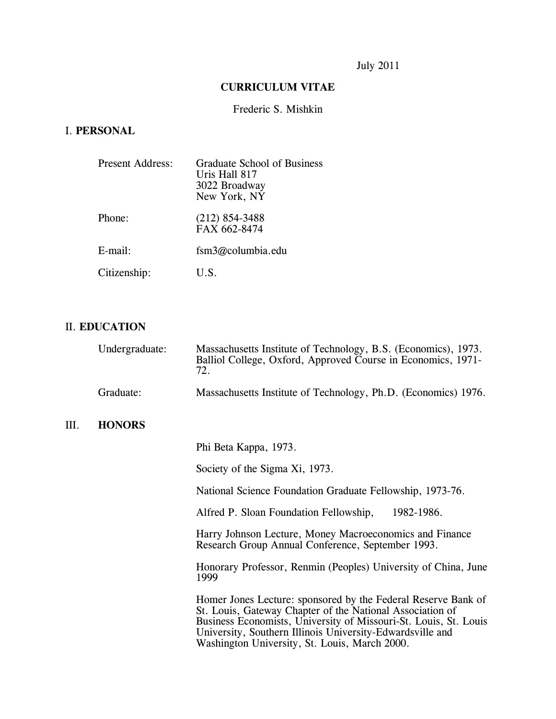# July 2011

### **CURRICULUM VITAE**

### Frederic S. Mishkin

# I. **PERSONAL**

| Present Address: | <b>Graduate School of Business</b><br>Uris Hall 817<br>3022 Broadway<br>New York, NY |
|------------------|--------------------------------------------------------------------------------------|
| Phone:           | $(212)$ 854-3488<br>FAX 662-8474                                                     |
| E-mail:          | $f\sin 3\omega$ columbia.edu                                                         |
| Citizenship:     | U.S.                                                                                 |

# II. **EDUCATION**

III.

| Undergraduate: | Massachusetts Institute of Technology, B.S. (Economics), 1973.<br>Balliol College, Oxford, Approved Course in Economics, 1971-<br>72.                                                                                                                                                                        |
|----------------|--------------------------------------------------------------------------------------------------------------------------------------------------------------------------------------------------------------------------------------------------------------------------------------------------------------|
| Graduate:      | Massachusetts Institute of Technology, Ph.D. (Economics) 1976.                                                                                                                                                                                                                                               |
| <b>HONORS</b>  |                                                                                                                                                                                                                                                                                                              |
|                | Phi Beta Kappa, 1973.                                                                                                                                                                                                                                                                                        |
|                | Society of the Sigma Xi, 1973.                                                                                                                                                                                                                                                                               |
|                | National Science Foundation Graduate Fellowship, 1973-76.                                                                                                                                                                                                                                                    |
|                | Alfred P. Sloan Foundation Fellowship,<br>1982-1986.                                                                                                                                                                                                                                                         |
|                | Harry Johnson Lecture, Money Macroeconomics and Finance<br>Research Group Annual Conference, September 1993.                                                                                                                                                                                                 |
|                | Honorary Professor, Renmin (Peoples) University of China, June<br>1999                                                                                                                                                                                                                                       |
|                | Homer Jones Lecture: sponsored by the Federal Reserve Bank of<br>St. Louis, Gateway Chapter of the National Association of<br>Business Economists, University of Missouri-St. Louis, St. Louis<br>University, Southern Illinois University-Edwardsville and<br>Washington University, St. Louis, March 2000. |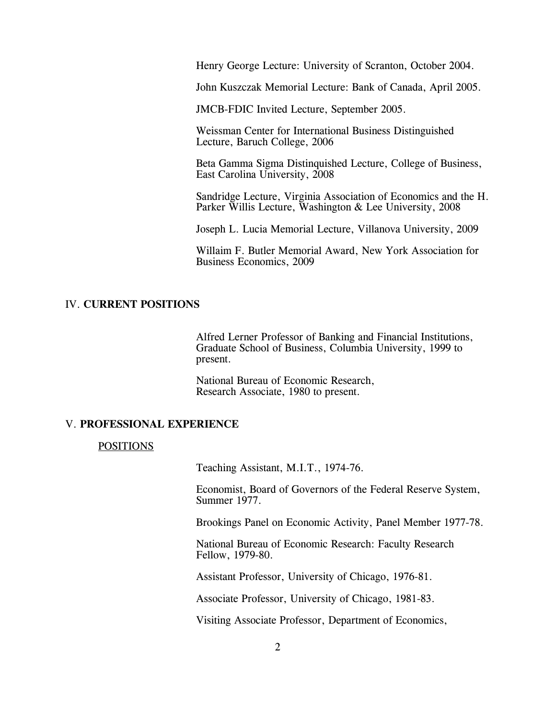Henry George Lecture: University of Scranton, October 2004.

John Kuszczak Memorial Lecture: Bank of Canada, April 2005.

JMCB-FDIC Invited Lecture, September 2005.

Weissman Center for International Business Distinguished Lecture, Baruch College, 2006

Beta Gamma Sigma Distinquished Lecture, College of Business, East Carolina University, 2008

Sandridge Lecture, Virginia Association of Economics and the H. Parker Willis Lecture, Washington & Lee University, 2008

Joseph L. Lucia Memorial Lecture, Villanova University, 2009

Willaim F. Butler Memorial Award, New York Association for Business Economics, 2009

#### IV. **CURRENT POSITIONS**

Alfred Lerner Professor of Banking and Financial Institutions, Graduate School of Business, Columbia University, 1999 to present.

National Bureau of Economic Research, Research Associate, 1980 to present.

#### V. **PROFESSIONAL EXPERIENCE**

#### POSITIONS

Teaching Assistant, M.I.T., 1974-76.

Economist, Board of Governors of the Federal Reserve System, Summer 1977.

Brookings Panel on Economic Activity, Panel Member 1977-78.

National Bureau of Economic Research: Faculty Research Fellow, 1979-80.

Assistant Professor, University of Chicago, 1976-81.

Associate Professor, University of Chicago, 1981-83.

Visiting Associate Professor, Department of Economics,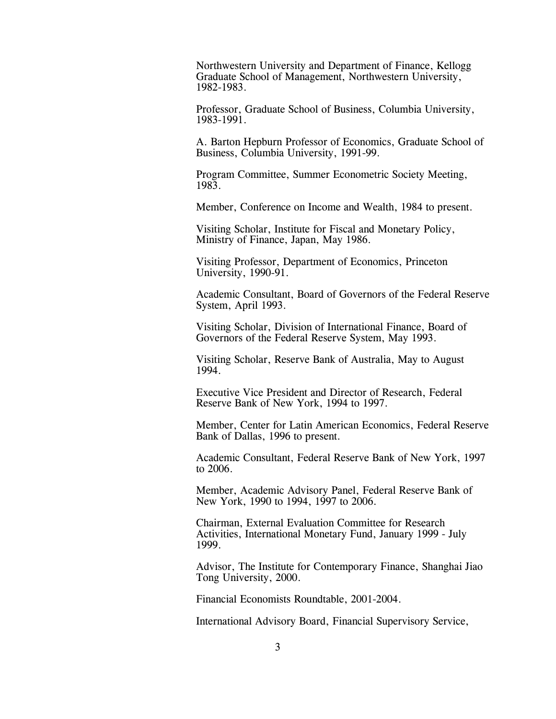Northwestern University and Department of Finance, Kellogg Graduate School of Management, Northwestern University, 1982-1983.

 Professor, Graduate School of Business, Columbia University, 1983-1991.

A. Barton Hepburn Professor of Economics, Graduate School of Business, Columbia University, 1991-99.

Program Committee, Summer Econometric Society Meeting, 1983.

Member, Conference on Income and Wealth, 1984 to present.

Visiting Scholar, Institute for Fiscal and Monetary Policy, Ministry of Finance, Japan, May 1986.

Visiting Professor, Department of Economics, Princeton University, 1990-91.

Academic Consultant, Board of Governors of the Federal Reserve System, April 1993.

Visiting Scholar, Division of International Finance, Board of Governors of the Federal Reserve System, May 1993.

Visiting Scholar, Reserve Bank of Australia, May to August 1994.

Executive Vice President and Director of Research, Federal Reserve Bank of New York, 1994 to 1997.

Member, Center for Latin American Economics, Federal Reserve Bank of Dallas, 1996 to present.

Academic Consultant, Federal Reserve Bank of New York, 1997 to 2006.

Member, Academic Advisory Panel, Federal Reserve Bank of New York, 1990 to 1994, 1997 to 2006.

Chairman, External Evaluation Committee for Research Activities, International Monetary Fund, January 1999 - July 1999.

Advisor, The Institute for Contemporary Finance, Shanghai Jiao Tong University, 2000.

Financial Economists Roundtable, 2001-2004.

International Advisory Board, Financial Supervisory Service,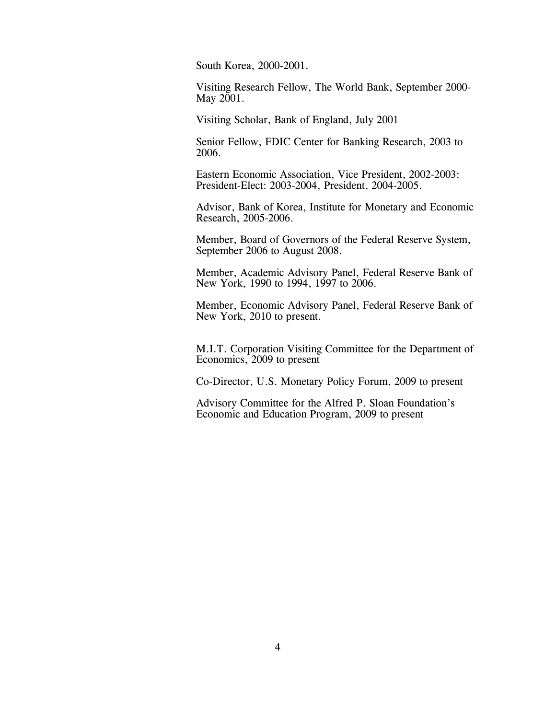South Korea, 2000-2001.

Visiting Research Fellow, The World Bank, September 2000- May 2001.

Visiting Scholar, Bank of England, July 2001

Senior Fellow, FDIC Center for Banking Research, 2003 to 2006.

Eastern Economic Association, Vice President, 2002-2003: President-Elect: 2003-2004, President, 2004-2005.

Advisor, Bank of Korea, Institute for Monetary and Economic Research, 2005-2006.

Member, Board of Governors of the Federal Reserve System, September 2006 to August 2008.

Member, Academic Advisory Panel, Federal Reserve Bank of New York, 1990 to 1994, 1997 to 2006.

Member, Economic Advisory Panel, Federal Reserve Bank of New York, 2010 to present.

M.I.T. Corporation Visiting Committee for the Department of Economics, 2009 to present

Co-Director, U.S. Monetary Policy Forum, 2009 to present

Advisory Committee for the Alfred P. Sloan Foundation's Economic and Education Program, 2009 to present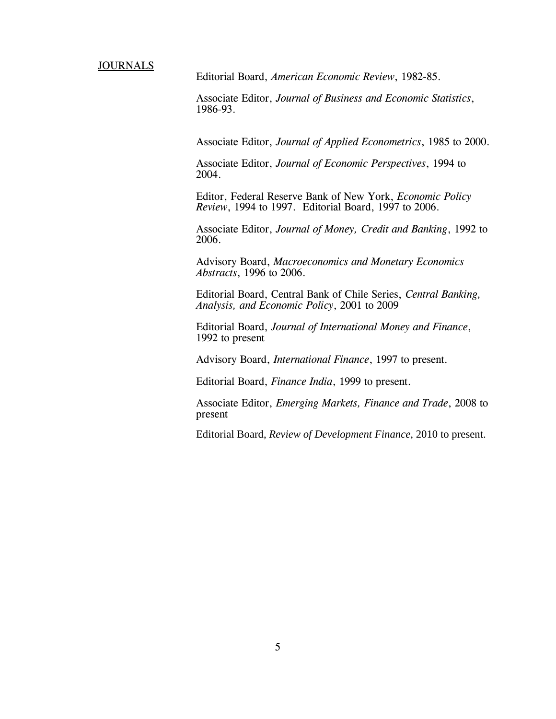**JOURNALS** 

Editorial Board, *American Economic Review*, 1982-85.

Associate Editor, *Journal of Business and Economic Statistics*, 1986-93.

Associate Editor, *Journal of Applied Econometrics*, 1985 to 2000.

Associate Editor, *Journal of Economic Perspectives*, 1994 to 2004.

Editor, Federal Reserve Bank of New York, *Economic Policy Review*, 1994 to 1997. Editorial Board, 1997 to 2006.

Associate Editor, *Journal of Money, Credit and Banking*, 1992 to 2006.

Advisory Board, *Macroeconomics and Monetary Economics Abstracts*, 1996 to 2006.

Editorial Board, Central Bank of Chile Series, *Central Banking, Analysis, and Economic Policy*, 2001 to 2009

Editorial Board, *Journal of International Money and Finance*, 1992 to present

Advisory Board, *International Finance*, 1997 to present.

Editorial Board, *Finance India*, 1999 to present.

Associate Editor, *Emerging Markets, Finance and Trade*, 2008 to present

Editorial Board, *Review of Development Finance*, 2010 to present.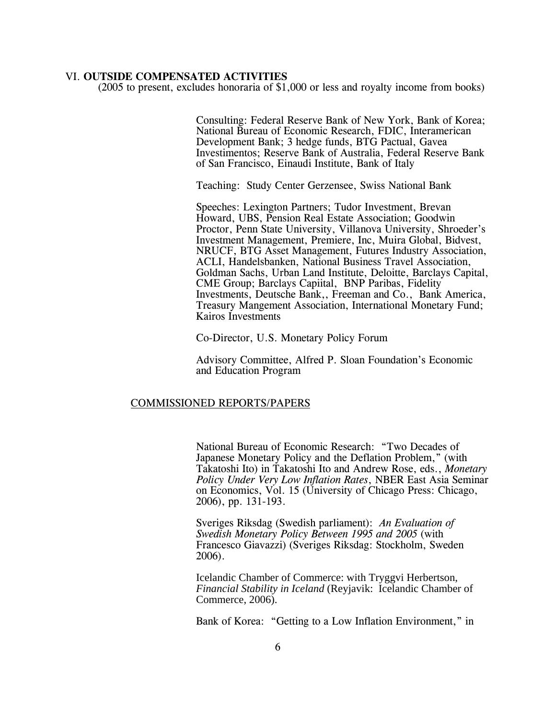#### VI. **OUTSIDE COMPENSATED ACTIVITIES**

(2005 to present, excludes honoraria of \$1,000 or less and royalty income from books)

Consulting: Federal Reserve Bank of New York, Bank of Korea; National Bureau of Economic Research, FDIC, Interamerican Development Bank; 3 hedge funds, BTG Pactual, Gavea Investimentos; Reserve Bank of Australia, Federal Reserve Bank of San Francisco, Einaudi Institute, Bank of Italy

Teaching: Study Center Gerzensee, Swiss National Bank

Speeches: Lexington Partners; Tudor Investment, Brevan Howard, UBS, Pension Real Estate Association; Goodwin Proctor, Penn State University, Villanova University, Shroeder's Investment Management, Premiere, Inc, Muira Global, Bidvest, NRUCF, BTG Asset Management, Futures Industry Association, ACLI, Handelsbanken, National Business Travel Association, Goldman Sachs, Urban Land Institute, Deloitte, Barclays Capital, CME Group; Barclays Capiital, BNP Paribas, Fidelity Investments, Deutsche Bank,, Freeman and Co., Bank America, Treasury Mangement Association, International Monetary Fund; Kairos Investments

Co-Director, U.S. Monetary Policy Forum

Advisory Committee, Alfred P. Sloan Foundation's Economic and Education Program

#### COMMISSIONED REPORTS/PAPERS

National Bureau of Economic Research: "Two Decades of Japanese Monetary Policy and the Deflation Problem," (with Takatoshi Ito) in Takatoshi Ito and Andrew Rose, eds., *Monetary Policy Under Very Low Inflation Rates*, NBER East Asia Seminar on Economics, Vol. 15 (University of Chicago Press: Chicago, 2006), pp. 131-193.

Sveriges Riksdag (Swedish parliament): *An Evaluation of Swedish Monetary Policy Between 1995 and 2005* (with Francesco Giavazzi) (Sveriges Riksdag: Stockholm, Sweden 2006).

Icelandic Chamber of Commerce: with Tryggvi Herbertson, *Financial Stability in Iceland* (Reyjavik: Icelandic Chamber of Commerce, 2006).

Bank of Korea: "Getting to a Low Inflation Environment," in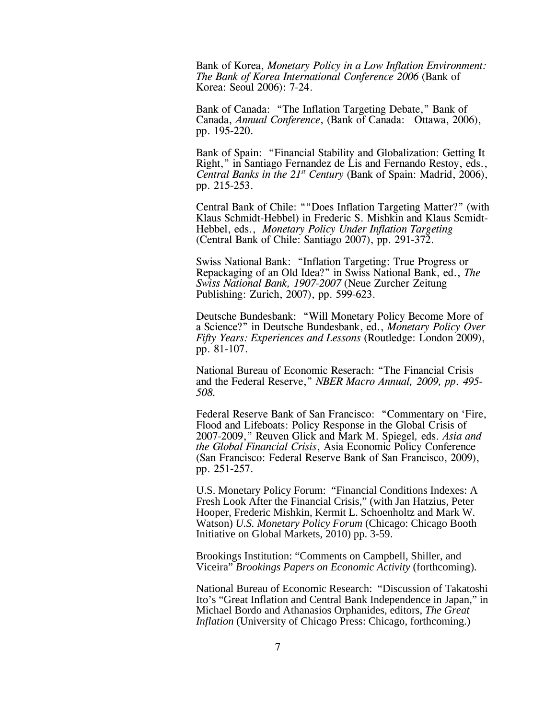Bank of Korea, *Monetary Policy in a Low Inflation Environment: The Bank of Korea International Conference 2006* (Bank of Korea: Seoul 2006): 7-24.

Bank of Canada: "The Inflation Targeting Debate," Bank of Canada, *Annual Conference*, (Bank of Canada: Ottawa, 2006), pp. 195-220.

Bank of Spain: "Financial Stability and Globalization: Getting It Right," in Santiago Fernandez de Lis and Fernando Restoy, eds., *Central Banks in the 21st Century* (Bank of Spain: Madrid, 2006), pp. 215-253.

Central Bank of Chile: ""Does Inflation Targeting Matter?" (with Klaus Schmidt-Hebbel) in Frederic S. Mishkin and Klaus Scmidt-Hebbel, eds., *Monetary Policy Under Inflation Targeting* (Central Bank of Chile: Santiago 2007), pp. 291-372.

Swiss National Bank: "Inflation Targeting: True Progress or Repackaging of an Old Idea?" in Swiss National Bank, ed., *The Swiss National Bank, 1907-2007* (Neue Zurcher Zeitung Publishing: Zurich, 2007), pp. 599-623.

Deutsche Bundesbank: "Will Monetary Policy Become More of a Science?" in Deutsche Bundesbank, ed., *Monetary Policy Over Fifty Years: Experiences and Lessons* (Routledge: London 2009), pp. 81-107.

National Bureau of Economic Reserach: "The Financial Crisis and the Federal Reserve," *NBER Macro Annual, 2009, pp. 495- 508.*

Federal Reserve Bank of San Francisco: "Commentary on 'Fire, Flood and Lifeboats: Policy Response in the Global Crisis of 2007-2009," Reuven Glick and Mark M. Spiegel*,* eds. *Asia and the Global Financial Crisis*, Asia Economic Policy Conference (San Francisco: Federal Reserve Bank of San Francisco, 2009), pp. 251-257.

U.S. Monetary Policy Forum: "Financial Conditions Indexes: A Fresh Look After the Financial Crisis," (with Jan Hatzius, Peter Hooper, Frederic Mishkin, Kermit L. Schoenholtz and Mark W. Watson) *U.S. Monetary Policy Forum* (Chicago: Chicago Booth Initiative on Global Markets, 2010) pp. 3-59.

Brookings Institution: "Comments on Campbell, Shiller, and Viceira" *Brookings Papers on Economic Activity* (forthcoming).

National Bureau of Economic Research: "Discussion of Takatoshi Ito's "Great Inflation and Central Bank Independence in Japan," in Michael Bordo and Athanasios Orphanides, editors, *The Great Inflation* (University of Chicago Press: Chicago, forthcoming.)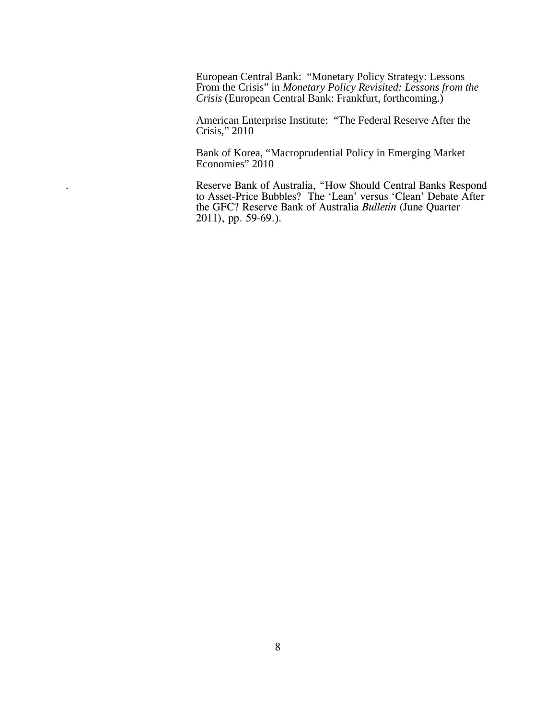European Central Bank: "Monetary Policy Strategy: Lessons From the Crisis" in *Monetary Policy Revisited: Lessons from the Crisis* (European Central Bank: Frankfurt, forthcoming.)

American Enterprise Institute: "The Federal Reserve After the Crisis," 2010

Bank of Korea, "Macroprudential Policy in Emerging Market Economies" 2010

. Reserve Bank of Australia, "How Should Central Banks Respond to Asset-Price Bubbles? The 'Lean' versus 'Clean' Debate After the GFC? Reserve Bank of Australia *Bulletin* (June Quarter 2011), pp. 59-69.).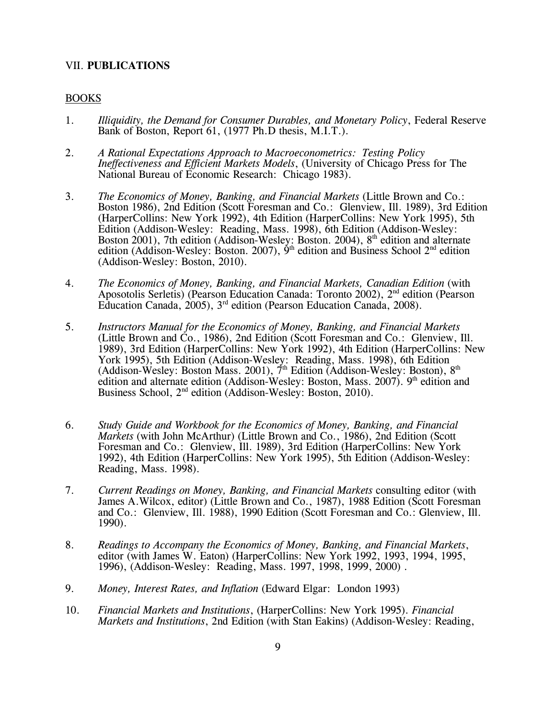#### VII. **PUBLICATIONS**

#### BOOKS

- 1. *Illiquidity, the Demand for Consumer Durables, and Monetary Policy*, Federal Reserve Bank of Boston, Report 61, (1977 Ph.D thesis, M.I.T.).
- 2. *A Rational Expectations Approach to Macroeconometrics: Testing Policy Ineffectiveness and Efficient Markets Models*, (University of Chicago Press for The National Bureau of Economic Research: Chicago 1983).
- 3. *The Economics of Money, Banking, and Financial Markets* (Little Brown and Co.: Boston 1986), 2nd Edition (Scott Foresman and Co.: Glenview, Ill. 1989), 3rd Edition (HarperCollins: New York 1992), 4th Edition (HarperCollins: New York 1995), 5th Edition (Addison-Wesley: Reading, Mass. 1998), 6th Edition (Addison-Wesley: Boston 2001), 7th edition (Addison-Wesley: Boston. 2004), 8<sup>th</sup> edition and alternate edition (Addison-Wesley: Boston. 2007),  $\dot{9}^{\text{th}}$  edition and Business School  $2^{\text{nd}}$  edition (Addison-Wesley: Boston, 2010).
- 4. *The Economics of Money, Banking, and Financial Markets, Canadian Edition* (with Aposotolis Serletis) (Pearson Education Canada: Toronto 2002), 2nd edition (Pearson Education Canada, 2005), 3rd edition (Pearson Education Canada, 2008).
- 5. *Instructors Manual for the Economics of Money, Banking, and Financial Markets* (Little Brown and Co., 1986), 2nd Edition (Scott Foresman and Co.: Glenview, Ill. 1989), 3rd Edition (HarperCollins: New York 1992), 4th Edition (HarperCollins: New York 1995), 5th Edition (Addison-Wesley: Reading, Mass. 1998), 6th Edition (Addison-Wesley: Boston Mass. 2001),  $\vec{\tau}$ <sup>th</sup> Edition (Addison-Wesley: Boston), 8<sup>th</sup> edition and alternate edition (Addison-Wesley: Boston, Mass. 2007).  $9<sup>th</sup>$  edition and Business School, 2nd edition (Addison-Wesley: Boston, 2010).
- 6. *Study Guide and Workbook for the Economics of Money, Banking, and Financial Markets* (with John McArthur) (Little Brown and Co., 1986), 2nd Edition (Scott Foresman and Co.: Glenview, Ill. 1989), 3rd Edition (HarperCollins: New York 1992), 4th Edition (HarperCollins: New York 1995), 5th Edition (Addison-Wesley: Reading, Mass. 1998).
- 7. *Current Readings on Money, Banking, and Financial Markets* consulting editor (with James A.Wilcox, editor) (Little Brown and Co., 1987), 1988 Edition (Scott Foresman and Co.: Glenview, Ill. 1988), 1990 Edition (Scott Foresman and Co.: Glenview, Ill. 1990).
- 8. *Readings to Accompany the Economics of Money, Banking, and Financial Markets*, editor (with James W. Eaton) (HarperCollins: New York 1992, 1993, 1994, 1995, 1996), (Addison-Wesley: Reading, Mass. 1997, 1998, 1999, 2000) .
- 9. *Money, Interest Rates, and Inflation* (Edward Elgar: London 1993)
- 10. *Financial Markets and Institutions*, (HarperCollins: New York 1995). *Financial Markets and Institutions*, 2nd Edition (with Stan Eakins) (Addison-Wesley: Reading,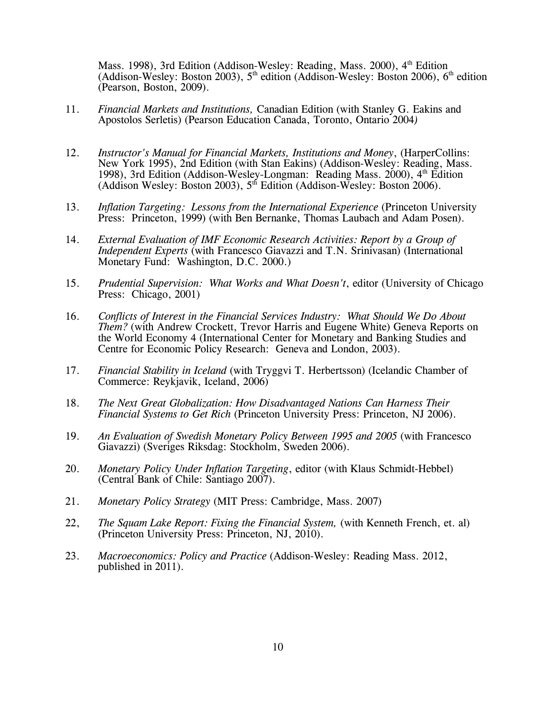Mass. 1998), 3rd Edition (Addison-Wesley: Reading, Mass. 2000), 4<sup>th</sup> Edition (Addison-Wesley: Boston 2003),  $5<sup>th</sup>$  edition (Addison-Wesley: Boston 2006),  $6<sup>th</sup>$  edition (Pearson, Boston, 2009).

- 11. *Financial Markets and Institutions,* Canadian Edition (with Stanley G. Eakins and Apostolos Serletis) (Pearson Education Canada, Toronto, Ontario 2004*)*
- 12. *Instructor's Manual for Financial Markets, Institutions and Money*, (HarperCollins: New York 1995), 2nd Edition (with Stan Eakins) (Addison-Wesley: Reading, Mass. 1998), 3rd Edition (Addison-Wesley-Longman: Reading Mass. 2000), 4<sup>th</sup> Edition (Addison Wesley: Boston 2003),  $5<sup>th</sup>$  Edition (Addison-Wesley: Boston 2006).
- 13. *Inflation Targeting: Lessons from the International Experience* (Princeton University Press: Princeton, 1999) (with Ben Bernanke, Thomas Laubach and Adam Posen).
- 14. *External Evaluation of IMF Economic Research Activities: Report by a Group of Independent Experts* (with Francesco Giavazzi and T.N. Srinivasan) (International Monetary Fund: Washington, D.C. 2000.)
- 15. *Prudential Supervision: What Works and What Doesn't*, editor (University of Chicago Press: Chicago, 2001)
- 16. *Conflicts of Interest in the Financial Services Industry: What Should We Do About Them?* (with Andrew Crockett, Trevor Harris and Eugene White) Geneva Reports on the World Economy 4 (International Center for Monetary and Banking Studies and Centre for Economic Policy Research: Geneva and London, 2003).
- 17. *Financial Stability in Iceland* (with Tryggvi T. Herbertsson) (Icelandic Chamber of Commerce: Reykjavik, Iceland, 2006)
- 18. *The Next Great Globalization: How Disadvantaged Nations Can Harness Their Financial Systems to Get Rich* (Princeton University Press: Princeton, NJ 2006).
- 19. *An Evaluation of Swedish Monetary Policy Between 1995 and 2005* (with Francesco Giavazzi) (Sveriges Riksdag: Stockholm, Sweden 2006).
- 20. *Monetary Policy Under Inflation Targeting*, editor (with Klaus Schmidt-Hebbel) (Central Bank of Chile: Santiago 2007).
- 21. *Monetary Policy Strategy* (MIT Press: Cambridge, Mass. 2007)
- 22, *The Squam Lake Report: Fixing the Financial System,* (with Kenneth French, et. al) (Princeton University Press: Princeton, NJ, 2010).
- 23. *Macroeconomics: Policy and Practice* (Addison-Wesley: Reading Mass. 2012, published in 2011).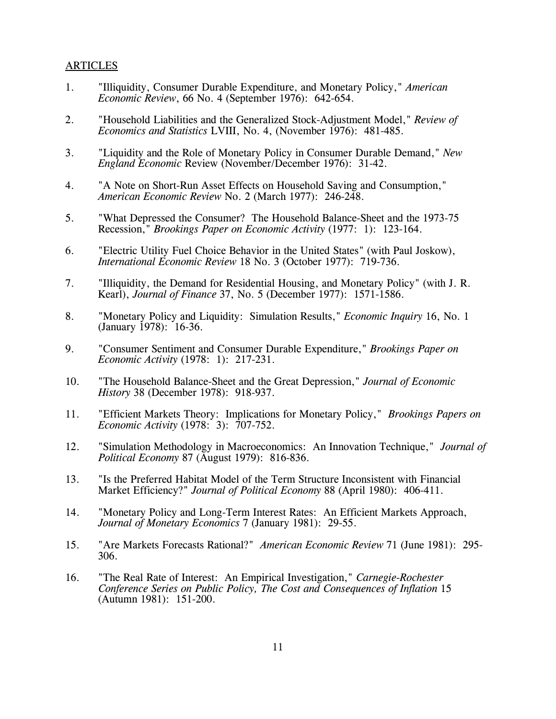#### ARTICLES

- 1. "Illiquidity, Consumer Durable Expenditure, and Monetary Policy," *American Economic Review*, 66 No. 4 (September 1976): 642-654.
- 2. "Household Liabilities and the Generalized Stock-Adjustment Model," *Review of Economics and Statistics* LVIII, No. 4, (November 1976): 481-485.
- 3. "Liquidity and the Role of Monetary Policy in Consumer Durable Demand," *New England Economic* Review (November/December 1976): 31-42.
- 4. "A Note on Short-Run Asset Effects on Household Saving and Consumption," *American Economic Review* No. 2 (March 1977): 246-248.
- 5. "What Depressed the Consumer? The Household Balance-Sheet and the 1973-75 Recession," *Brookings Paper on Economic Activity* (1977: 1): 123-164.
- 6. "Electric Utility Fuel Choice Behavior in the United States" (with Paul Joskow), *International Economic Review* 18 No. 3 (October 1977): 719-736.
- 7. "Illiquidity, the Demand for Residential Housing, and Monetary Policy" (with J. R. Kearl), *Journal of Finance* 37, No. 5 (December 1977): 1571-1586.
- 8. "Monetary Policy and Liquidity: Simulation Results," *Economic Inquiry* 16, No. 1 (January 1978): 16-36.
- 9. "Consumer Sentiment and Consumer Durable Expenditure," *Brookings Paper on Economic Activity* (1978: 1): 217-231.
- 10. "The Household Balance-Sheet and the Great Depression," *Journal of Economic History* 38 (December 1978): 918-937.
- 11. "Efficient Markets Theory: Implications for Monetary Policy," *Brookings Papers on Economic Activity* (1978: 3): 707-752.
- 12. "Simulation Methodology in Macroeconomics: An Innovation Technique," *Journal of Political Economy* 87 (August 1979): 816-836.
- 13. "Is the Preferred Habitat Model of the Term Structure Inconsistent with Financial Market Efficiency?" *Journal of Political Economy* 88 (April 1980): 406-411.
- 14. "Monetary Policy and Long-Term Interest Rates: An Efficient Markets Approach, *Journal of Monetary Economics* 7 (January 1981): 29-55.
- 15. "Are Markets Forecasts Rational?" *American Economic Review* 71 (June 1981): 295- 306.
- 16. "The Real Rate of Interest: An Empirical Investigation," *Carnegie-Rochester Conference Series on Public Policy, The Cost and Consequences of Inflation* 15 (Autumn 1981): 151-200.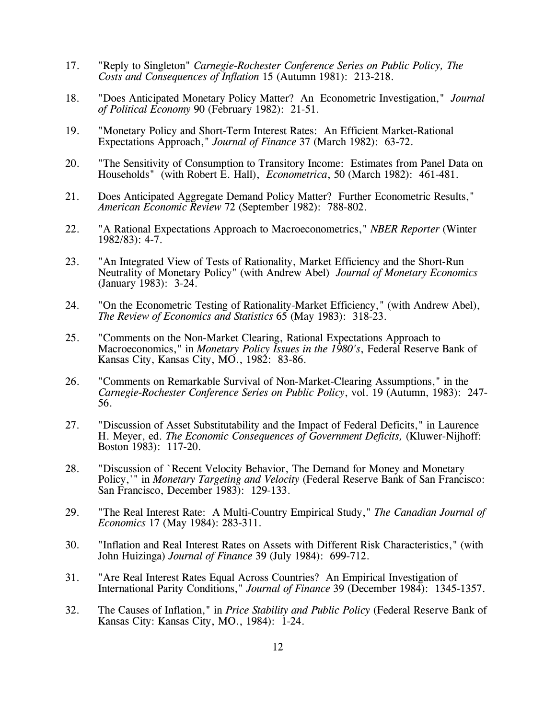- 17. "Reply to Singleton" *Carnegie-Rochester Conference Series on Public Policy, The Costs and Consequences of Inflation* 15 (Autumn 1981): 213-218.
- 18. "Does Anticipated Monetary Policy Matter? An Econometric Investigation," *Journal of Political Economy* 90 (February 1982): 21-51.
- 19. "Monetary Policy and Short-Term Interest Rates: An Efficient Market-Rational Expectations Approach," *Journal of Finance* 37 (March 1982): 63-72.
- 20. "The Sensitivity of Consumption to Transitory Income: Estimates from Panel Data on Households" (with Robert E. Hall), *Econometrica*, 50 (March 1982): 461-481.
- 21. Does Anticipated Aggregate Demand Policy Matter? Further Econometric Results," *American Economic Review* 72 (September 1982): 788-802.
- 22. "A Rational Expectations Approach to Macroeconometrics," *NBER Reporter* (Winter 1982/83): 4-7.
- 23. "An Integrated View of Tests of Rationality, Market Efficiency and the Short-Run Neutrality of Monetary Policy" (with Andrew Abel) *Journal of Monetary Economics* (January 1983): 3-24.
- 24. "On the Econometric Testing of Rationality-Market Efficiency," (with Andrew Abel), *The Review of Economics and Statistics* 65 (May 1983): 318-23.
- 25. "Comments on the Non-Market Clearing, Rational Expectations Approach to Macroeconomics," in *Monetary Policy Issues in the 1980's*, Federal Reserve Bank of Kansas City, Kansas City, MO., 1982: 83-86.
- 26. "Comments on Remarkable Survival of Non-Market-Clearing Assumptions," in the *Carnegie-Rochester Conference Series on Public Policy*, vol. 19 (Autumn, 1983): 247- 56.
- 27. "Discussion of Asset Substitutability and the Impact of Federal Deficits," in Laurence H. Meyer, ed. *The Economic Consequences of Government Deficits,* (Kluwer-Nijhoff: Boston 1983): 117-20.
- 28. "Discussion of `Recent Velocity Behavior, The Demand for Money and Monetary Policy,'" in *Monetary Targeting and Velocity* (Federal Reserve Bank of San Francisco: San Francisco, December 1983): 129-133.
- 29. "The Real Interest Rate: A Multi-Country Empirical Study," *The Canadian Journal of Economics* 17 (May 1984): 283-311.
- 30. "Inflation and Real Interest Rates on Assets with Different Risk Characteristics," (with John Huizinga) *Journal of Finance* 39 (July 1984): 699-712.
- 31. "Are Real Interest Rates Equal Across Countries? An Empirical Investigation of International Parity Conditions," *Journal of Finance* 39 (December 1984): 1345-1357.
- 32. The Causes of Inflation," in *Price Stability and Public Policy* (Federal Reserve Bank of Kansas City: Kansas City, MO., 1984): 1-24.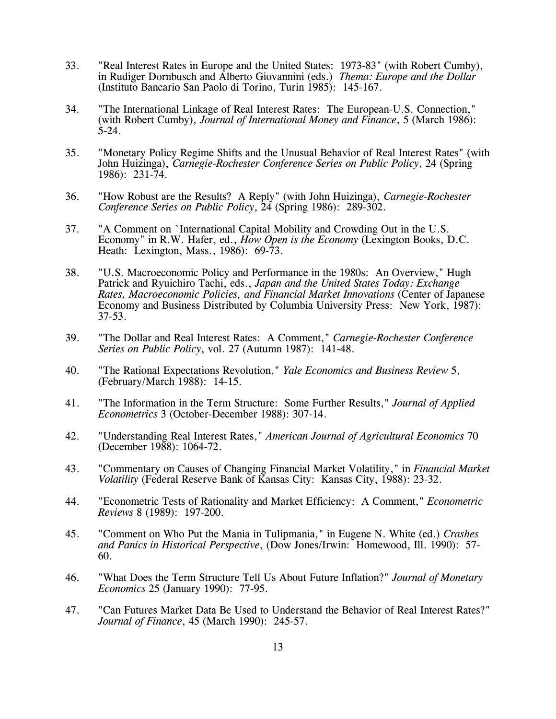- 33. "Real Interest Rates in Europe and the United States: 1973-83" (with Robert Cumby), in Rudiger Dornbusch and Alberto Giovannini (eds.) *Thema: Europe and the Dollar* (Instituto Bancario San Paolo di Torino, Turin 1985): 145-167.
- 34. "The International Linkage of Real Interest Rates: The European-U.S. Connection," (with Robert Cumby), *Journal of International Money and Finance*, 5 (March 1986): 5-24.
- 35. "Monetary Policy Regime Shifts and the Unusual Behavior of Real Interest Rates" (with John Huizinga), *Carnegie-Rochester Conference Series on Public Policy*, 24 (Spring 1986): 231-74.
- 36. "How Robust are the Results? A Reply" (with John Huizinga), *Carnegie-Rochester Conference Series on Public Policy*, 24 (Spring 1986): 289-302.
- 37. "A Comment on `International Capital Mobility and Crowding Out in the U.S. Economy" in R.W. Hafer, ed., *How Open is the Economy* (Lexington Books, D.C. Heath: Lexington, Mass., 1986): 69-73.
- 38. "U.S. Macroeconomic Policy and Performance in the 1980s: An Overview," Hugh Patrick and Ryuichiro Tachi, eds., *Japan and the United States Today: Exchange Rates, Macroeconomic Policies, and Financial Market Innovations* (Center of Japanese Economy and Business Distributed by Columbia University Press: New York, 1987): 37-53.
- 39. "The Dollar and Real Interest Rates: A Comment," *Carnegie-Rochester Conference Series on Public Policy*, vol. 27 (Autumn 1987): 141-48.
- 40. "The Rational Expectations Revolution," *Yale Economics and Business Review* 5, (February/March 1988): 14-15.
- 41. "The Information in the Term Structure: Some Further Results," *Journal of Applied Econometrics* 3 (October-December 1988): 307-14.
- 42. "Understanding Real Interest Rates," *American Journal of Agricultural Economics* 70 (December 1988): 1064-72.
- 43. "Commentary on Causes of Changing Financial Market Volatility," in *Financial Market Volatility* (Federal Reserve Bank of Kansas City: Kansas City, 1988): 23-32.
- 44. "Econometric Tests of Rationality and Market Efficiency: A Comment," *Econometric Reviews* 8 (1989): 197-200.
- 45. "Comment on Who Put the Mania in Tulipmania," in Eugene N. White (ed.) *Crashes and Panics in Historical Perspective*, (Dow Jones/Irwin: Homewood, Ill. 1990): 57- 60.
- 46. "What Does the Term Structure Tell Us About Future Inflation?" *Journal of Monetary Economics* 25 (January 1990): 77-95.
- 47. "Can Futures Market Data Be Used to Understand the Behavior of Real Interest Rates?" *Journal of Finance*, 45 (March 1990): 245-57.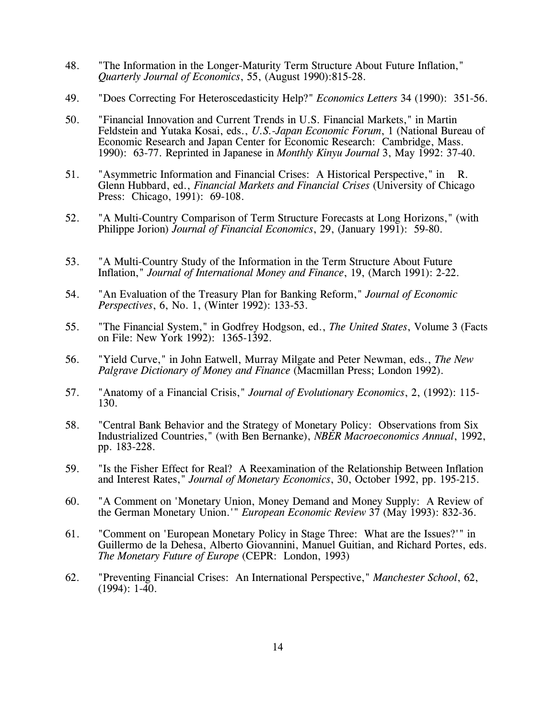- 48. "The Information in the Longer-Maturity Term Structure About Future Inflation," *Quarterly Journal of Economics*, 55, (August 1990):815-28.
- 49. "Does Correcting For Heteroscedasticity Help?" *Economics Letters* 34 (1990): 351-56.
- 50. "Financial Innovation and Current Trends in U.S. Financial Markets," in Martin Feldstein and Yutaka Kosai, eds., *U.S.-Japan Economic Forum*, 1 (National Bureau of Economic Research and Japan Center for Economic Research: Cambridge, Mass. 1990): 63-77. Reprinted in Japanese in *Monthly Kinyu Journal* 3, May 1992: 37-40.
- 51. "Asymmetric Information and Financial Crises: A Historical Perspective," in R. Glenn Hubbard, ed., *Financial Markets and Financial Crises* (University of Chicago Press: Chicago, 1991): 69-108.
- 52. "A Multi-Country Comparison of Term Structure Forecasts at Long Horizons," (with Philippe Jorion) *Journal of Financial Economics*, 29, (January 1991): 59-80.
- 53. "A Multi-Country Study of the Information in the Term Structure About Future Inflation," *Journal of International Money and Finance*, 19, (March 1991): 2-22.
- 54. "An Evaluation of the Treasury Plan for Banking Reform," *Journal of Economic Perspectives*, 6, No. 1, (Winter 1992): 133-53.
- 55. "The Financial System," in Godfrey Hodgson, ed., *The United States*, Volume 3 (Facts on File: New York 1992): 1365-1392.
- 56. "Yield Curve," in John Eatwell, Murray Milgate and Peter Newman, eds., *The New Palgrave Dictionary of Money and Finance* (Macmillan Press; London 1992).
- 57. "Anatomy of a Financial Crisis," *Journal of Evolutionary Economics*, 2, (1992): 115- 130.
- 58. "Central Bank Behavior and the Strategy of Monetary Policy: Observations from Six Industrialized Countries," (with Ben Bernanke), *NBER Macroeconomics Annual*, 1992, pp. 183-228.
- 59. "Is the Fisher Effect for Real? A Reexamination of the Relationship Between Inflation and Interest Rates," *Journal of Monetary Economics*, 30, October 1992, pp. 195-215.
- 60. "A Comment on 'Monetary Union, Money Demand and Money Supply: A Review of the German Monetary Union.'" *European Economic Review* 37 (May 1993): 832-36.
- 61. "Comment on 'European Monetary Policy in Stage Three: What are the Issues?'" in Guillermo de la Dehesa, Alberto Giovannini, Manuel Guitian, and Richard Portes, eds. *The Monetary Future of Europe* (CEPR: London, 1993)
- 62. "Preventing Financial Crises: An International Perspective," *Manchester School*, 62, (1994): 1-40.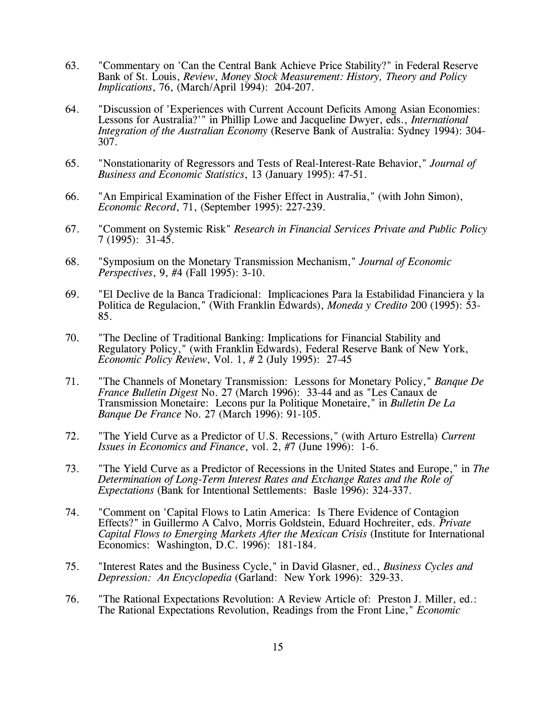- 63. "Commentary on 'Can the Central Bank Achieve Price Stability?" in Federal Reserve Bank of St. Louis, *Review*, *Money Stock Measurement: History, Theory and Policy Implications*, 76, (March/April 1994): 204-207.
- 64. "Discussion of 'Experiences with Current Account Deficits Among Asian Economies: Lessons for Australia?'" in Phillip Lowe and Jacqueline Dwyer, eds., *International Integration of the Australian Economy* (Reserve Bank of Australia: Sydney 1994): 304- 307.
- 65. "Nonstationarity of Regressors and Tests of Real-Interest-Rate Behavior," *Journal of Business and Economic Statistics*, 13 (January 1995): 47-51.
- 66. "An Empirical Examination of the Fisher Effect in Australia," (with John Simon), *Economic Record*, 71, (September 1995): 227-239.
- 67. "Comment on Systemic Risk" *Research in Financial Services Private and Public Policy* 7 (1995): 31-45.
- 68. "Symposium on the Monetary Transmission Mechanism," *Journal of Economic Perspectives*, 9, #4 (Fall 1995): 3-10.
- 69. "El Declive de la Banca Tradicional: Implicaciones Para la Estabilidad Financiera y la Politica de Regulacion," (With Franklin Edwards), *Moneda y Credito* 200 (1995): 53- 85.
- 70. "The Decline of Traditional Banking: Implications for Financial Stability and Regulatory Policy," (with Franklin Edwards), Federal Reserve Bank of New York, *Economic Policy Review*, Vol. 1, # 2 (July 1995): 27-45
- 71. "The Channels of Monetary Transmission: Lessons for Monetary Policy," *Banque De France Bulletin Digest* No. 27 (March 1996): 33-44 and as "Les Canaux de Transmission Monetaire: Lecons pur la Politique Monetaire," in *Bulletin De La Banque De France* No. 27 (March 1996): 91-105.
- 72. "The Yield Curve as a Predictor of U.S. Recessions," (with Arturo Estrella) *Current Issues in Economics and Finance*, vol. 2, #7 (June 1996): 1-6.
- 73. "The Yield Curve as a Predictor of Recessions in the United States and Europe," in *The Determination of Long-Term Interest Rates and Exchange Rates and the Role of Expectations* (Bank for Intentional Settlements: Basle 1996): 324-337.
- 74. "Comment on 'Capital Flows to Latin America: Is There Evidence of Contagion Effects?" in Guillermo A Calvo, Morris Goldstein, Eduard Hochreiter, eds. *Private Capital Flows to Emerging Markets After the Mexican Crisis* (Institute for International Economics: Washington, D.C. 1996): 181-184.
- 75. "Interest Rates and the Business Cycle," in David Glasner, ed., *Business Cycles and Depression: An Encyclopedia* (Garland: New York 1996): 329-33.
- 76. "The Rational Expectations Revolution: A Review Article of: Preston J. Miller, ed.: The Rational Expectations Revolution, Readings from the Front Line," *Economic*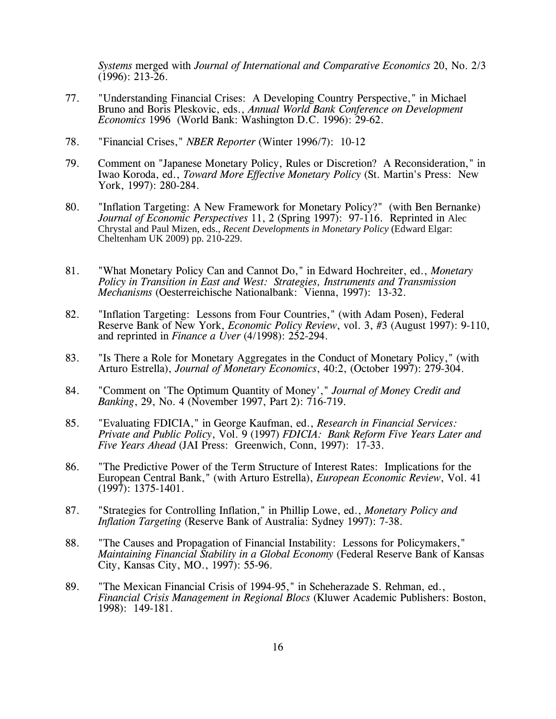*Systems* merged with *Journal of International and Comparative Economics* 20, No. 2/3 (1996): 213-26.

- 77. "Understanding Financial Crises: A Developing Country Perspective," in Michael Bruno and Boris Pleskovic, eds., *Annual World Bank Conference on Development Economics* 1996 (World Bank: Washington D.C. 1996): 29-62.
- 78. "Financial Crises," *NBER Reporter* (Winter 1996/7): 10-12
- 79. Comment on "Japanese Monetary Policy, Rules or Discretion? A Reconsideration," in Iwao Koroda, ed., *Toward More Effective Monetary Policy* (St. Martin's Press: New York, 1997): 280-284.
- 80. "Inflation Targeting: A New Framework for Monetary Policy?" (with Ben Bernanke) *Journal of Economic Perspectives* 11, 2 (Spring 1997): 97-116. Reprinted in Alec Chrystal and Paul Mizen, eds., *Recent Developments in Monetary Policy* (Edward Elgar: Cheltenham UK 2009) pp. 210-229.
- 81. "What Monetary Policy Can and Cannot Do," in Edward Hochreiter, ed., *Monetary Policy in Transition in East and West: Strategies, Instruments and Transmission Mechanisms* (Oesterreichische Nationalbank: Vienna, 1997): 13-32.
- 82. "Inflation Targeting: Lessons from Four Countries," (with Adam Posen), Federal Reserve Bank of New York, *Economic Policy Review*, vol. 3, #3 (August 1997): 9-110, and reprinted in *Finance a Uver* (4/1998): 252-294.
- 83. "Is There a Role for Monetary Aggregates in the Conduct of Monetary Policy," (with Arturo Estrella), *Journal of Monetary Economics*, 40:2, (October 1997): 279-304.
- 84. "Comment on 'The Optimum Quantity of Money'," *Journal of Money Credit and Banking*, 29, No. 4 (November 1997, Part 2): 716-719.
- 85. "Evaluating FDICIA," in George Kaufman, ed., *Research in Financial Services: Private and Public Policy*, Vol. 9 (1997) *FDICIA: Bank Reform Five Years Later and Five Years Ahead* (JAI Press: Greenwich, Conn, 1997): 17-33.
- 86. "The Predictive Power of the Term Structure of Interest Rates: Implications for the European Central Bank," (with Arturo Estrella), *European Economic Review*, Vol. 41 (1997): 1375-1401.
- 87. "Strategies for Controlling Inflation," in Phillip Lowe, ed., *Monetary Policy and Inflation Targeting* (Reserve Bank of Australia: Sydney 1997): 7-38.
- 88. "The Causes and Propagation of Financial Instability: Lessons for Policymakers," *Maintaining Financial Stability in a Global Economy* (Federal Reserve Bank of Kansas City, Kansas City, MO., 1997): 55-96.
- 89. "The Mexican Financial Crisis of 1994-95," in Scheherazade S. Rehman, ed., *Financial Crisis Management in Regional Blocs* (Kluwer Academic Publishers: Boston, 1998): 149-181.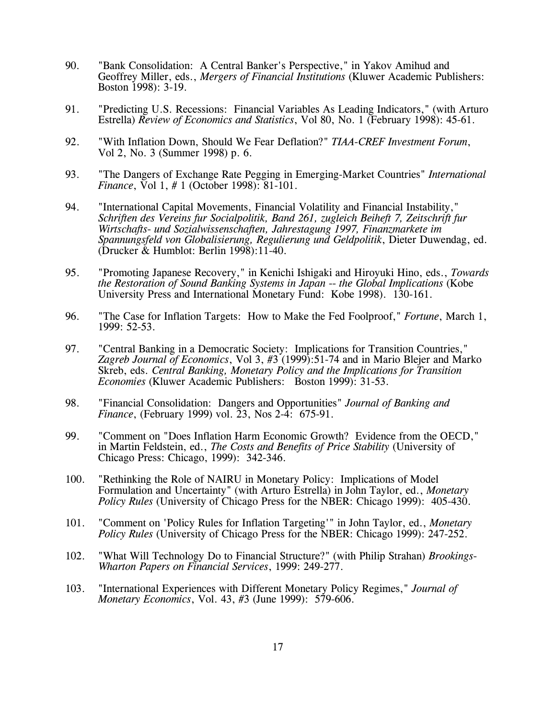- 90. "Bank Consolidation: A Central Banker's Perspective," in Yakov Amihud and Geoffrey Miller, eds., *Mergers of Financial Institutions* (Kluwer Academic Publishers: Boston 1998): 3-19.
- 91. "Predicting U.S. Recessions: Financial Variables As Leading Indicators," (with Arturo Estrella) *Review of Economics and Statistics*, Vol 80, No. 1 (February 1998): 45-61.
- 92. "With Inflation Down, Should We Fear Deflation?" *TIAA-CREF Investment Forum*, Vol 2, No. 3 (Summer 1998) p. 6.
- 93. "The Dangers of Exchange Rate Pegging in Emerging-Market Countries" *International Finance*, Vol 1, # 1 (October 1998): 81-101.
- 94. "International Capital Movements, Financial Volatility and Financial Instability," *Schriften des Vereins fur Socialpolitik, Band 261, zugleich Beiheft 7, Zeitschrift fur Wirtschafts- und Sozialwissenschaften, Jahrestagung 1997, Finanzmarkete im Spannungsfeld von Globalisierung, Regulierung und Geldpolitik*, Dieter Duwendag, ed. (Drucker & Humblot: Berlin 1998):11-40.
- 95. "Promoting Japanese Recovery," in Kenichi Ishigaki and Hiroyuki Hino, eds., *Towards the Restoration of Sound Banking Systems in Japan -- the Global Implications* (Kobe University Press and International Monetary Fund: Kobe 1998). 130-161.
- 96. "The Case for Inflation Targets: How to Make the Fed Foolproof," *Fortune*, March 1, 1999: 52-53.
- 97. "Central Banking in a Democratic Society: Implications for Transition Countries," *Zagreb Journal of Economics*, Vol 3, #3 (1999):51-74 and in Mario Blejer and Marko Skreb, eds. *Central Banking, Monetary Policy and the Implications for Transition Economies* (Kluwer Academic Publishers: Boston 1999): 31-53.
- 98. "Financial Consolidation: Dangers and Opportunities" *Journal of Banking and Finance*, (February 1999) vol. 23, Nos 2-4: 675-91.
- 99. "Comment on "Does Inflation Harm Economic Growth? Evidence from the OECD," in Martin Feldstein, ed., *The Costs and Benefits of Price Stability* (University of Chicago Press: Chicago, 1999): 342-346.
- 100. "Rethinking the Role of NAIRU in Monetary Policy: Implications of Model Formulation and Uncertainty" (with Arturo Estrella) in John Taylor, ed., *Monetary Policy Rules* (University of Chicago Press for the NBER: Chicago 1999): 405-430.
- 101. "Comment on 'Policy Rules for Inflation Targeting'" in John Taylor, ed., *Monetary Policy Rules* (University of Chicago Press for the NBER: Chicago 1999): 247-252.
- 102. "What Will Technology Do to Financial Structure?" (with Philip Strahan) *Brookings-Wharton Papers on Financial Services*, 1999: 249-277.
- 103. "International Experiences with Different Monetary Policy Regimes," *Journal of Monetary Economics*, Vol. 43, #3 (June 1999): 579-606.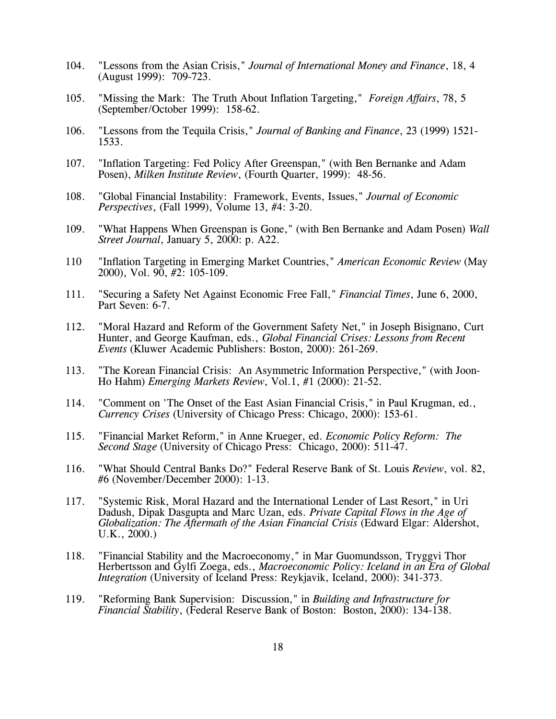- 104. "Lessons from the Asian Crisis," *Journal of International Money and Finance*, 18, 4 (August 1999): 709-723.
- 105. "Missing the Mark: The Truth About Inflation Targeting," *Foreign Affairs*, 78, 5 (September/October 1999): 158-62.
- 106. "Lessons from the Tequila Crisis," *Journal of Banking and Finance*, 23 (1999) 1521- 1533.
- 107. "Inflation Targeting: Fed Policy After Greenspan," (with Ben Bernanke and Adam Posen), *Milken Institute Review*, (Fourth Quarter, 1999): 48-56.
- 108. "Global Financial Instability: Framework, Events, Issues," *Journal of Economic Perspectives*, (Fall 1999), Volume 13, #4: 3-20.
- 109. "What Happens When Greenspan is Gone," (with Ben Bernanke and Adam Posen) *Wall Street Journal*, January 5, 2000: p. A22.
- 110 "Inflation Targeting in Emerging Market Countries," *American Economic Review* (May 2000), Vol. 90, #2: 105-109.
- 111. "Securing a Safety Net Against Economic Free Fall," *Financial Times*, June 6, 2000, Part Seven: 6-7.
- 112. "Moral Hazard and Reform of the Government Safety Net," in Joseph Bisignano, Curt Hunter, and George Kaufman, eds., *Global Financial Crises: Lessons from Recent Events* (Kluwer Academic Publishers: Boston, 2000): 261-269.
- 113. "The Korean Financial Crisis: An Asymmetric Information Perspective," (with Joon-Ho Hahm) *Emerging Markets Review*, Vol.1, #1 (2000): 21-52.
- 114. "Comment on 'The Onset of the East Asian Financial Crisis," in Paul Krugman, ed., *Currency Crises* (University of Chicago Press: Chicago, 2000): 153-61.
- 115. "Financial Market Reform," in Anne Krueger, ed. *Economic Policy Reform: The Second Stage* (University of Chicago Press: Chicago, 2000): 511-47.
- 116. "What Should Central Banks Do?" Federal Reserve Bank of St. Louis *Review*, vol. 82, #6 (November/December 2000): 1-13.
- 117. "Systemic Risk, Moral Hazard and the International Lender of Last Resort," in Uri Dadush, Dipak Dasgupta and Marc Uzan, eds. *Private Capital Flows in the Age of Globalization: The Aftermath of the Asian Financial Crisis* (Edward Elgar: Aldershot, U.K., 2000.)
- 118. "Financial Stability and the Macroeconomy," in Mar Guomundsson, Tryggvi Thor Herbertsson and Gylfi Zoega, eds., *Macroeconomic Policy: Iceland in an Era of Global Integration* (University of Iceland Press: Reykjavik, Iceland, 2000): 341-373.
- 119. "Reforming Bank Supervision: Discussion," in *Building and Infrastructure for Financial Stability*, (Federal Reserve Bank of Boston: Boston, 2000): 134-138.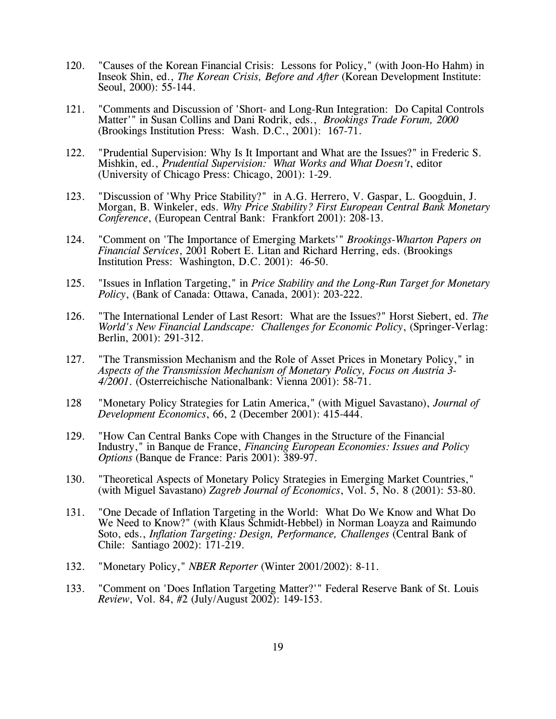- 120. "Causes of the Korean Financial Crisis: Lessons for Policy," (with Joon-Ho Hahm) in Inseok Shin, ed., *The Korean Crisis, Before and After* (Korean Development Institute: Seoul, 2000): 55-144.
- 121. "Comments and Discussion of 'Short- and Long-Run Integration: Do Capital Controls Matter'" in Susan Collins and Dani Rodrik, eds., *Brookings Trade Forum, 2000* (Brookings Institution Press: Wash. D.C., 2001): 167-71.
- 122. "Prudential Supervision: Why Is It Important and What are the Issues?" in Frederic S. Mishkin, ed., *Prudential Supervision: What Works and What Doesn't*, editor (University of Chicago Press: Chicago, 2001): 1-29.
- 123. "Discussion of 'Why Price Stability?" in A.G. Herrero, V. Gaspar, L. Googduin, J. Morgan, B. Winkeler, eds. *Why Price Stability? First European Central Bank Monetary Conference*, (European Central Bank: Frankfort 2001): 208-13.
- 124. "Comment on 'The Importance of Emerging Markets'" *Brookings-Wharton Papers on Financial Services*, 2001 Robert E. Litan and Richard Herring, eds. (Brookings Institution Press: Washington, D.C. 2001): 46-50.
- 125. "Issues in Inflation Targeting," in *Price Stability and the Long-Run Target for Monetary Policy*, (Bank of Canada: Ottawa, Canada, 2001): 203-222.
- 126. "The International Lender of Last Resort: What are the Issues?" Horst Siebert, ed. *The World's New Financial Landscape: Challenges for Economic Policy*, (Springer-Verlag: Berlin, 2001): 291-312.
- 127. "The Transmission Mechanism and the Role of Asset Prices in Monetary Policy," in *Aspects of the Transmission Mechanism of Monetary Policy, Focus on Austria 3- 4/2001*. (Osterreichische Nationalbank: Vienna 2001): 58-71.
- 128 "Monetary Policy Strategies for Latin America," (with Miguel Savastano), *Journal of Development Economics*, 66, 2 (December 2001): 415-444.
- 129. "How Can Central Banks Cope with Changes in the Structure of the Financial Industry," in Banque de France, *Financing European Economies: Issues and Policy Options* (Banque de France: Paris 2001): 389-97.
- 130. "Theoretical Aspects of Monetary Policy Strategies in Emerging Market Countries," (with Miguel Savastano) *Zagreb Journal of Economics*, Vol. 5, No. 8 (2001): 53-80.
- 131. "One Decade of Inflation Targeting in the World: What Do We Know and What Do We Need to Know?" (with Klaus Schmidt-Hebbel) in Norman Loayza and Raimundo Soto, eds., *Inflation Targeting: Design, Performance, Challenges* (Central Bank of Chile: Santiago 2002): 171-219.
- 132. "Monetary Policy," *NBER Reporter* (Winter 2001/2002): 8-11.
- 133. "Comment on 'Does Inflation Targeting Matter?'" Federal Reserve Bank of St. Louis *Review*, Vol. 84, #2 (July/August 2002): 149-153.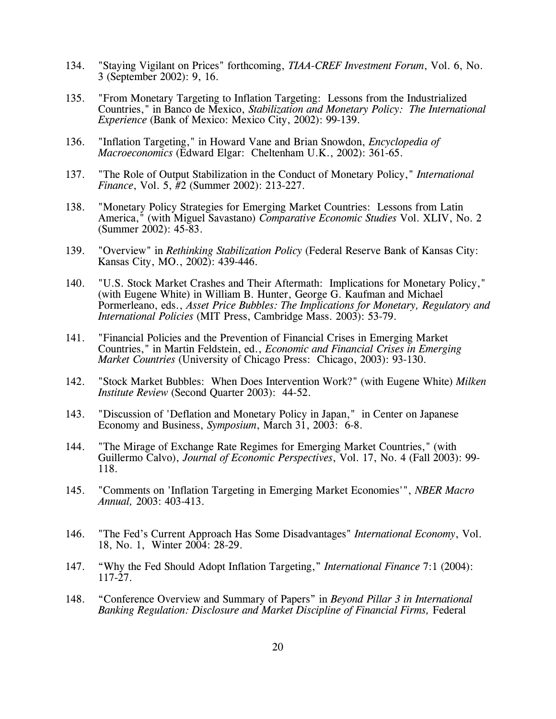- 134. "Staying Vigilant on Prices" forthcoming, *TIAA-CREF Investment Forum*, Vol. 6, No. 3 (September 2002): 9, 16.
- 135. "From Monetary Targeting to Inflation Targeting: Lessons from the Industrialized Countries," in Banco de Mexico, *Stabilization and Monetary Policy: The International Experience* (Bank of Mexico: Mexico City, 2002): 99-139.
- 136. "Inflation Targeting," in Howard Vane and Brian Snowdon, *Encyclopedia of Macroeconomics* (Edward Elgar: Cheltenham U.K., 2002): 361-65.
- 137. "The Role of Output Stabilization in the Conduct of Monetary Policy," *International Finance*, Vol. 5, #2 (Summer 2002): 213-227.
- 138. "Monetary Policy Strategies for Emerging Market Countries: Lessons from Latin America," (with Miguel Savastano) *Comparative Economic Studies* Vol. XLIV, No. 2 (Summer 2002): 45-83.
- 139. "Overview" in *Rethinking Stabilization Policy* (Federal Reserve Bank of Kansas City: Kansas City, MO., 2002): 439-446.
- 140. "U.S. Stock Market Crashes and Their Aftermath: Implications for Monetary Policy," (with Eugene White) in William B. Hunter, George G. Kaufman and Michael Pormerleano, eds., *Asset Price Bubbles: The Implications for Monetary, Regulatory and International Policies* (MIT Press, Cambridge Mass. 2003): 53-79.
- 141. "Financial Policies and the Prevention of Financial Crises in Emerging Market Countries," in Martin Feldstein, ed., *Economic and Financial Crises in Emerging Market Countries* (University of Chicago Press: Chicago, 2003): 93-130.
- 142. "Stock Market Bubbles: When Does Intervention Work?" (with Eugene White) *Milken Institute Review* (Second Quarter 2003): 44-52.
- 143. "Discussion of 'Deflation and Monetary Policy in Japan," in Center on Japanese Economy and Business, *Symposium*, March 31, 2003: 6-8.
- 144. "The Mirage of Exchange Rate Regimes for Emerging Market Countries," (with Guillermo Calvo), *Journal of Economic Perspectives*, Vol. 17, No. 4 (Fall 2003): 99- 118.
- 145. "Comments on 'Inflation Targeting in Emerging Market Economies'", *NBER Macro Annual,* 2003: 403-413.
- 146. "The Fed's Current Approach Has Some Disadvantages" *International Economy*, Vol. 18, No. 1, Winter 2004: 28-29.
- 147. "Why the Fed Should Adopt Inflation Targeting," *International Finance* 7:1 (2004): 117-27.
- 148. "Conference Overview and Summary of Papers" in *Beyond Pillar 3 in International Banking Regulation: Disclosure and Market Discipline of Financial Firms, Federal*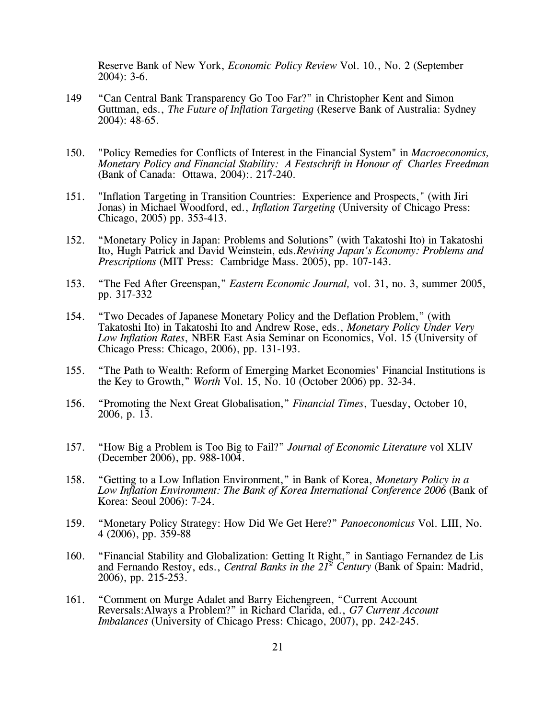Reserve Bank of New York, *Economic Policy Review* Vol. 10., No. 2 (September 2004): 3-6.

- 149 "Can Central Bank Transparency Go Too Far?" in Christopher Kent and Simon Guttman, eds., *The Future of Inflation Targeting* (Reserve Bank of Australia: Sydney 2004): 48-65.
- 150. "Policy Remedies for Conflicts of Interest in the Financial System" in *Macroeconomics, Monetary Policy and Financial Stability: A Festschrift in Honour of Charles Freedman* (Bank of Canada: Ottawa, 2004):. 217-240.
- 151. "Inflation Targeting in Transition Countries: Experience and Prospects," (with Jiri Jonas) in Michael Woodford, ed., *Inflation Targeting* (University of Chicago Press: Chicago, 2005) pp. 353-413.
- 152. "Monetary Policy in Japan: Problems and Solutions" (with Takatoshi Ito) in Takatoshi Ito, Hugh Patrick and David Weinstein, eds.*Reviving Japan's Economy: Problems and Prescriptions* (MIT Press: Cambridge Mass. 2005), pp. 107-143.
- 153. "The Fed After Greenspan," *Eastern Economic Journal,* vol. 31, no. 3, summer 2005, pp. 317-332
- 154. "Two Decades of Japanese Monetary Policy and the Deflation Problem," (with Takatoshi Ito) in Takatoshi Ito and Andrew Rose, eds., *Monetary Policy Under Very Low Inflation Rates*, NBER East Asia Seminar on Economics, Vol. 15 (University of Chicago Press: Chicago, 2006), pp. 131-193.
- 155. "The Path to Wealth: Reform of Emerging Market Economies' Financial Institutions is the Key to Growth," *Worth* Vol. 15, No. 10 (October 2006) pp. 32-34.
- 156. "Promoting the Next Great Globalisation," *Financial Times*, Tuesday, October 10, 2006, p. 13.
- 157. "How Big a Problem is Too Big to Fail?" *Journal of Economic Literature* vol XLIV (December 2006), pp. 988-1004.
- 158. "Getting to a Low Inflation Environment," in Bank of Korea, *Monetary Policy in a Low Inflation Environment: The Bank of Korea International Conference 2006* (Bank of Korea: Seoul 2006): 7-24.
- 159. "Monetary Policy Strategy: How Did We Get Here?" *Panoeconomicus* Vol. LIII, No. 4 (2006), pp. 359-88
- 160. "Financial Stability and Globalization: Getting It Right," in Santiago Fernandez de Lis and Fernando Restoy, eds., *Central Banks in the 21st Century* (Bank of Spain: Madrid, 2006), pp. 215-253.
- 161. "Comment on Murge Adalet and Barry Eichengreen, "Current Account Reversals:Always a Problem?" in Richard Clarida, ed., *G7 Current Account Imbalances* (University of Chicago Press: Chicago, 2007), pp. 242-245.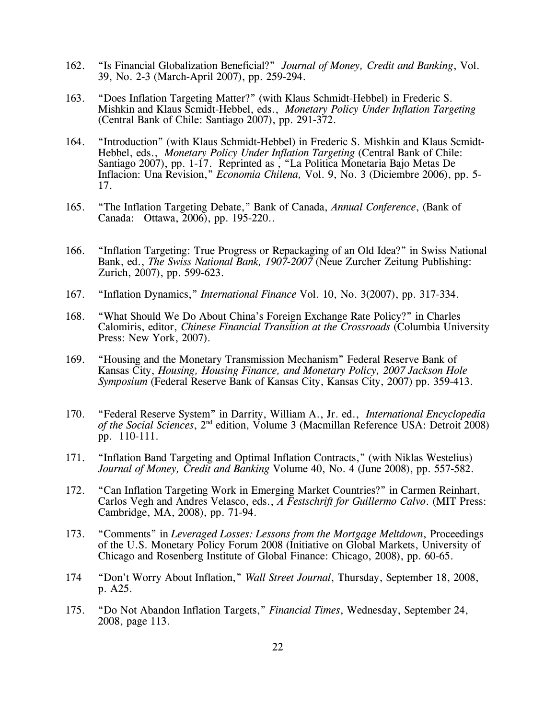- 162. "Is Financial Globalization Beneficial?" *Journal of Money, Credit and Banking*, Vol. 39, No. 2-3 (March-April 2007), pp. 259-294.
- 163. "Does Inflation Targeting Matter?" (with Klaus Schmidt-Hebbel) in Frederic S. Mishkin and Klaus Scmidt-Hebbel, eds., *Monetary Policy Under Inflation Targeting* (Central Bank of Chile: Santiago 2007), pp. 291-372.
- 164. "Introduction" (with Klaus Schmidt-Hebbel) in Frederic S. Mishkin and Klaus Scmidt-Hebbel, eds., *Monetary Policy Under Inflation Targeting* (Central Bank of Chile: Santiago 2007), pp. 1-17. Reprinted as , "La Politica Monetaria Bajo Metas De Inflacion: Una Revision," *Economia Chilena,* Vol. 9, No. 3 (Diciembre 2006), pp. 5- 17.
- 165. "The Inflation Targeting Debate," Bank of Canada, *Annual Conference*, (Bank of Canada: Ottawa, 2006), pp. 195-220..
- 166. "Inflation Targeting: True Progress or Repackaging of an Old Idea?" in Swiss National Bank, ed., *The Swiss National Bank, 1907-2007* (Neue Zurcher Zeitung Publishing: Zurich, 2007), pp. 599-623.
- 167. "Inflation Dynamics," *International Finance* Vol. 10, No. 3(2007), pp. 317-334.
- 168. "What Should We Do About China's Foreign Exchange Rate Policy?" in Charles Calomiris, editor, *Chinese Financial Transition at the Crossroads* (Columbia University Press: New York, 2007).
- 169. "Housing and the Monetary Transmission Mechanism" Federal Reserve Bank of Kansas City, *Housing, Housing Finance, and Monetary Policy, 2007 Jackson Hole Symposium* (Federal Reserve Bank of Kansas City, Kansas City, 2007) pp. 359-413.
- 170. "Federal Reserve System" in Darrity, William A., Jr. ed., *International Encyclopedia of the Social Sciences*, 2nd edition, Volume 3 (Macmillan Reference USA: Detroit 2008) pp. 110-111.
- 171. "Inflation Band Targeting and Optimal Inflation Contracts," (with Niklas Westelius) *Journal of Money, Credit and Banking* Volume 40, No. 4 (June 2008), pp. 557-582.
- 172. "Can Inflation Targeting Work in Emerging Market Countries?" in Carmen Reinhart, Carlos Vegh and Andres Velasco, eds., *A Festschrift for Guillermo Calvo*. (MIT Press: Cambridge, MA, 2008), pp. 71-94.
- 173. "Comments" in *Leveraged Losses: Lessons from the Mortgage Meltdown*, Proceedings of the U.S. Monetary Policy Forum 2008 (Initiative on Global Markets, University of Chicago and Rosenberg Institute of Global Finance: Chicago, 2008), pp. 60-65.
- 174 "Don't Worry About Inflation," *Wall Street Journal*, Thursday, September 18, 2008, p. A25.
- 175. "Do Not Abandon Inflation Targets," *Financial Times*, Wednesday, September 24, 2008, page 113.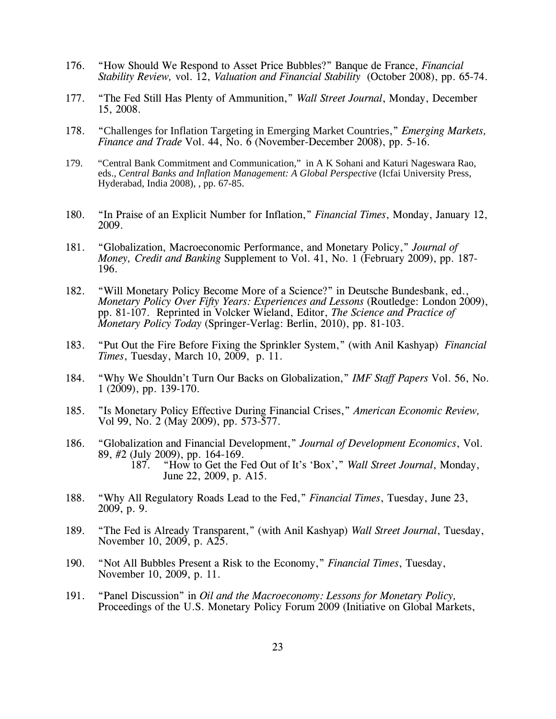- 176. "How Should We Respond to Asset Price Bubbles?" Banque de France, *Financial Stability Review,* vol. 12, *Valuation and Financial Stability* (October 2008), pp. 65-74.
- 177. "The Fed Still Has Plenty of Ammunition," *Wall Street Journal*, Monday, December 15, 2008.
- 178. "Challenges for Inflation Targeting in Emerging Market Countries," *Emerging Markets, Finance and Trade* Vol. 44, No. 6 (November-December 2008), pp. 5-16.
- 179. "Central Bank Commitment and Communication," in A K Sohani and Katuri Nageswara Rao, eds., *Central Banks and Inflation Management: A Global Perspective* (Icfai University Press, Hyderabad, India 2008), , pp. 67-85.
- 180. "In Praise of an Explicit Number for Inflation," *Financial Times*, Monday, January 12, 2009.
- 181. "Globalization, Macroeconomic Performance, and Monetary Policy," *Journal of Money, Credit and Banking* Supplement to Vol. 41, No. 1 (February 2009), pp. 187- 196.
- 182. "Will Monetary Policy Become More of a Science?" in Deutsche Bundesbank, ed., *Monetary Policy Over Fifty Years: Experiences and Lessons* (Routledge: London 2009), pp. 81-107. Reprinted in Volcker Wieland, Editor, *The Science and Practice of Monetary Policy Today* (Springer-Verlag: Berlin, 2010), pp. 81-103.
- 183. "Put Out the Fire Before Fixing the Sprinkler System," (with Anil Kashyap) *Financial Times*, Tuesday, March 10, 2009, p. 11.
- 184. "Why We Shouldn't Turn Our Backs on Globalization," *IMF Staff Papers* Vol. 56, No. 1 (2009), pp. 139-170.
- 185. "Is Monetary Policy Effective During Financial Crises," *American Economic Review,*  Vol 99, No. 2 (May 2009), pp. 573-577.
- 186. "Globalization and Financial Development," *Journal of Development Economics*, Vol. 89, #2 (July 2009), pp. 164-169.<br>187. "How to Get the F "How to Get the Fed Out of It's 'Box'," *Wall Street Journal*, Monday, June 22, 2009, p. A15.
- 188. "Why All Regulatory Roads Lead to the Fed," *Financial Times*, Tuesday, June 23, 2009, p. 9.
- 189. "The Fed is Already Transparent," (with Anil Kashyap) *Wall Street Journal*, Tuesday, November 10, 2009, p. A25.
- 190. "Not All Bubbles Present a Risk to the Economy," *Financial Times*, Tuesday, November 10, 2009, p. 11.
- 191. "Panel Discussion" in *Oil and the Macroeconomy: Lessons for Monetary Policy,* Proceedings of the U.S. Monetary Policy Forum 2009 (Initiative on Global Markets,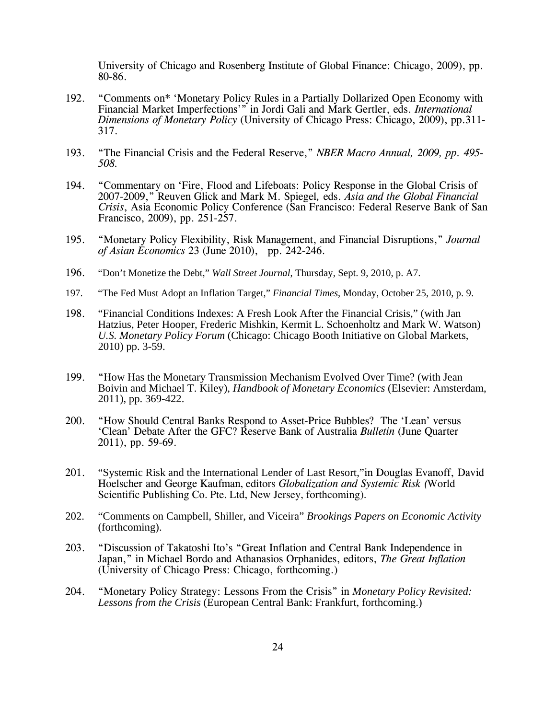University of Chicago and Rosenberg Institute of Global Finance: Chicago, 2009), pp. 80-86.

- 192. "Comments on\* 'Monetary Policy Rules in a Partially Dollarized Open Economy with Financial Market Imperfections'" in Jordi Gali and Mark Gertler, eds. *International Dimensions of Monetary Policy* (University of Chicago Press: Chicago, 2009), pp.311- 317.
- 193. "The Financial Crisis and the Federal Reserve," *NBER Macro Annual, 2009, pp. 495- 508.*
- 194. "Commentary on 'Fire, Flood and Lifeboats: Policy Response in the Global Crisis of 2007-2009," Reuven Glick and Mark M. Spiegel*,* eds. *Asia and the Global Financial Crisis*, Asia Economic Policy Conference (San Francisco: Federal Reserve Bank of San Francisco, 2009), pp. 251-257.
- 195. "Monetary Policy Flexibility, Risk Management, and Financial Disruptions," *Journal of Asian Economics* 23 (June 2010), pp. 242-246.
- 196. "Don't Monetize the Debt," *Wall Street Journal*, Thursday, Sept. 9, 2010, p. A7.
- 197. "The Fed Must Adopt an Inflation Target," *Financial Times*, Monday, October 25, 2010, p. 9.
- 198. "Financial Conditions Indexes: A Fresh Look After the Financial Crisis," (with Jan Hatzius, Peter Hooper, Frederic Mishkin, Kermit L. Schoenholtz and Mark W. Watson) *U.S. Monetary Policy Forum* (Chicago: Chicago Booth Initiative on Global Markets, 2010) pp. 3-59.
- 199. "How Has the Monetary Transmission Mechanism Evolved Over Time? (with Jean Boivin and Michael T. Kiley), *Handbook of Monetary Economics* (Elsevier: Amsterdam, 2011), pp. 369-422.
- 200. "How Should Central Banks Respond to Asset-Price Bubbles? The 'Lean' versus 'Clean' Debate After the GFC? Reserve Bank of Australia *Bulletin* (June Quarter 2011), pp. 59-69.
- 201. "Systemic Risk and the International Lender of Last Resort,"in Douglas Evanoff, David Hoelscher and George Kaufman, editors *Globalization and Systemic Risk (*World Scientific Publishing Co. Pte. Ltd, New Jersey, forthcoming).
- 202. "Comments on Campbell, Shiller, and Viceira" *Brookings Papers on Economic Activity* (forthcoming).
- 203. "Discussion of Takatoshi Ito's "Great Inflation and Central Bank Independence in Japan," in Michael Bordo and Athanasios Orphanides, editors, *The Great Inflation* (University of Chicago Press: Chicago, forthcoming.)
- 204. "Monetary Policy Strategy: Lessons From the Crisis" in *Monetary Policy Revisited: Lessons from the Crisis* (European Central Bank: Frankfurt, forthcoming.)